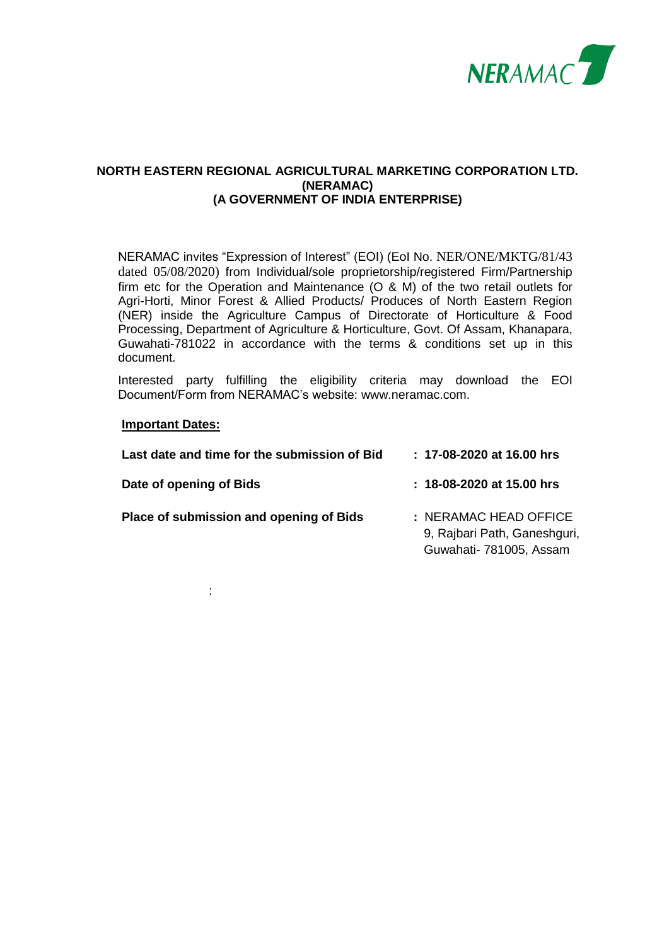

#### **NORTH EASTERN REGIONAL AGRICULTURAL MARKETING CORPORATION LTD. (NERAMAC) (A GOVERNMENT OF INDIA ENTERPRISE)**

NERAMAC invites "Expression of Interest" (EOI) (EoI No. NER/ONE/MKTG/81/43 dated 05/08/2020) from Individual/sole proprietorship/registered Firm/Partnership firm etc for the Operation and Maintenance (O & M) of the two retail outlets for Agri-Horti, Minor Forest & Allied Products/ Produces of North Eastern Region (NER) inside the Agriculture Campus of [Directorate of Horticulture & Food](http://dirhorti.assam.gov.in/)  [Processing,](http://dirhorti.assam.gov.in/) [Department of Agriculture & Horticulture,](http://agri-horti.assam.gov.in/) Govt. Of Assam, Khanapara, Guwahati-781022 in accordance with the terms & conditions set up in this document.

Interested party fulfilling the eligibility criteria may download the EOI Document/Form from NERAMAC's website: [www.neramac.com.](http://www.neramac.com/)

#### **Important Dates:**

:

| : 17-08-2020 at 16.00 hrs                                                        |
|----------------------------------------------------------------------------------|
| $: 18 - 08 - 2020$ at 15.00 hrs                                                  |
| : NERAMAC HEAD OFFICE<br>9, Rajbari Path, Ganeshguri,<br>Guwahati- 781005, Assam |
|                                                                                  |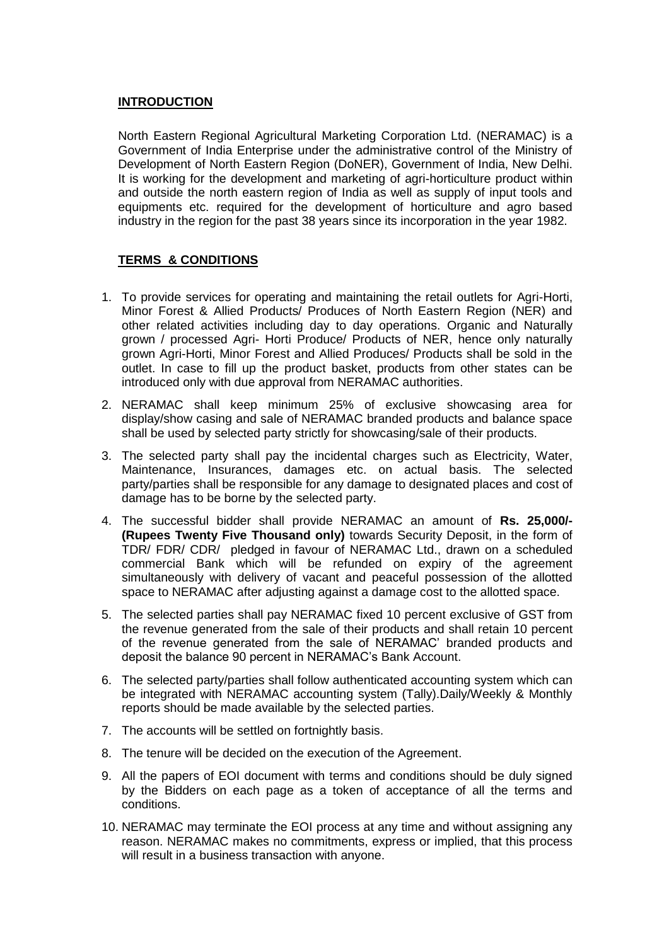### **INTRODUCTION**

North Eastern Regional Agricultural Marketing Corporation Ltd. (NERAMAC) is a Government of India Enterprise under the administrative control of the Ministry of Development of North Eastern Region (DoNER), Government of India, New Delhi. It is working for the development and marketing of agri-horticulture product within and outside the north eastern region of India as well as supply of input tools and equipments etc. required for the development of horticulture and agro based industry in the region for the past 38 years since its incorporation in the year 1982.

# **TERMS & CONDITIONS**

- 1. To provide services for operating and maintaining the retail outlets for Agri-Horti, Minor Forest & Allied Products/ Produces of North Eastern Region (NER) and other related activities including day to day operations. Organic and Naturally grown / processed Agri- Horti Produce/ Products of NER, hence only naturally grown Agri-Horti, Minor Forest and Allied Produces/ Products shall be sold in the outlet. In case to fill up the product basket, products from other states can be introduced only with due approval from NERAMAC authorities.
- 2. NERAMAC shall keep minimum 25% of exclusive showcasing area for display/show casing and sale of NERAMAC branded products and balance space shall be used by selected party strictly for showcasing/sale of their products.
- 3. The selected party shall pay the incidental charges such as Electricity, Water, Maintenance, Insurances, damages etc. on actual basis. The selected party/parties shall be responsible for any damage to designated places and cost of damage has to be borne by the selected party.
- 4. The successful bidder shall provide NERAMAC an amount of **Rs. 25,000/- (Rupees Twenty Five Thousand only)** towards Security Deposit, in the form of TDR/ FDR/ CDR/ pledged in favour of NERAMAC Ltd., drawn on a scheduled commercial Bank which will be refunded on expiry of the agreement simultaneously with delivery of vacant and peaceful possession of the allotted space to NERAMAC after adjusting against a damage cost to the allotted space.
- 5. The selected parties shall pay NERAMAC fixed 10 percent exclusive of GST from the revenue generated from the sale of their products and shall retain 10 percent of the revenue generated from the sale of NERAMAC' branded products and deposit the balance 90 percent in NERAMAC's Bank Account.
- 6. The selected party/parties shall follow authenticated accounting system which can be integrated with NERAMAC accounting system (Tally).Daily/Weekly & Monthly reports should be made available by the selected parties.
- 7. The accounts will be settled on fortnightly basis.
- 8. The tenure will be decided on the execution of the Agreement.
- 9. All the papers of EOI document with terms and conditions should be duly signed by the Bidders on each page as a token of acceptance of all the terms and conditions.
- 10. NERAMAC may terminate the EOI process at any time and without assigning any reason. NERAMAC makes no commitments, express or implied, that this process will result in a business transaction with anyone.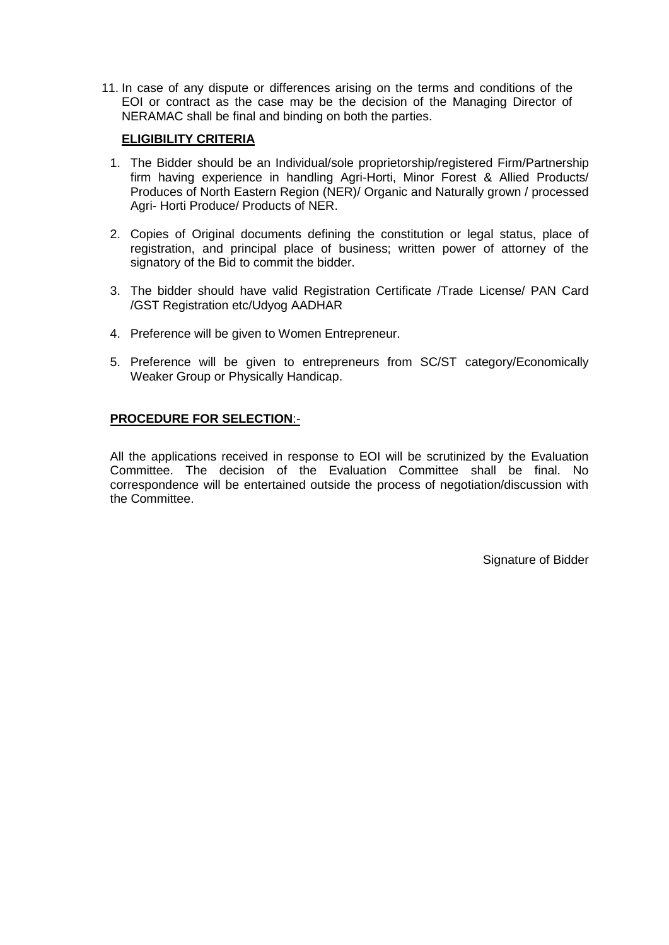11. In case of any dispute or differences arising on the terms and conditions of the EOI or contract as the case may be the decision of the Managing Director of NERAMAC shall be final and binding on both the parties.

### **ELIGIBILITY CRITERIA**

- 1. The Bidder should be an Individual/sole proprietorship/registered Firm/Partnership firm having experience in handling Agri-Horti, Minor Forest & Allied Products/ Produces of North Eastern Region (NER)/ Organic and Naturally grown / processed Agri- Horti Produce/ Products of NER.
- 2. Copies of Original documents defining the constitution or legal status, place of registration, and principal place of business; written power of attorney of the signatory of the Bid to commit the bidder.
- 3. The bidder should have valid Registration Certificate /Trade License/ PAN Card /GST Registration etc/Udyog AADHAR
- 4. Preference will be given to Women Entrepreneur.
- 5. Preference will be given to entrepreneurs from SC/ST category/Economically Weaker Group or Physically Handicap.

### **PROCEDURE FOR SELECTION**:-

All the applications received in response to EOI will be scrutinized by the Evaluation Committee. The decision of the Evaluation Committee shall be final. No correspondence will be entertained outside the process of negotiation/discussion with the Committee.

Signature of Bidder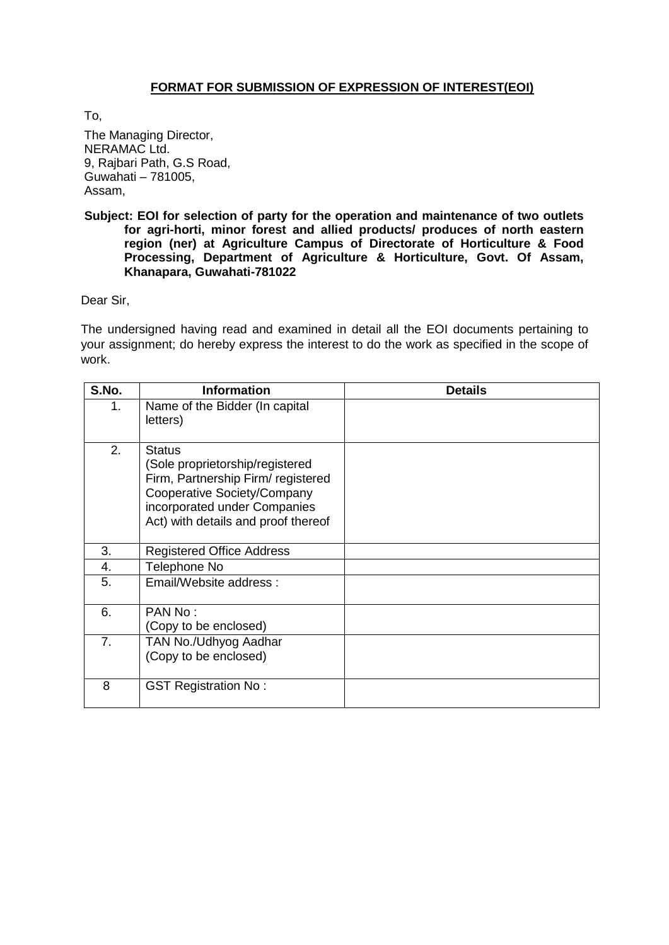## **FORMAT FOR SUBMISSION OF EXPRESSION OF INTEREST(EOI)**

To,

The Managing Director, NERAMAC Ltd. 9, Rajbari Path, G.S Road, Guwahati – 781005, Assam,

#### **Subject: EOI for selection of party for the operation and maintenance of two outlets for agri-horti, minor forest and allied products/ produces of north eastern region (ner) at Agriculture Campus of [Directorate of Horticulture & Food](http://dirhorti.assam.gov.in/)  [Processing,](http://dirhorti.assam.gov.in/) [Department of Agriculture & Horticulture,](http://agri-horti.assam.gov.in/) Govt. Of Assam, Khanapara, Guwahati-781022**

Dear Sir,

The undersigned having read and examined in detail all the EOI documents pertaining to your assignment; do hereby express the interest to do the work as specified in the scope of work.

| S.No. | <b>Information</b>                                                                                                                                                                           | <b>Details</b> |
|-------|----------------------------------------------------------------------------------------------------------------------------------------------------------------------------------------------|----------------|
| 1.    | Name of the Bidder (In capital<br>letters)                                                                                                                                                   |                |
| 2.    | <b>Status</b><br>(Sole proprietorship/registered<br>Firm, Partnership Firm/ registered<br>Cooperative Society/Company<br>incorporated under Companies<br>Act) with details and proof thereof |                |
| 3.    | <b>Registered Office Address</b>                                                                                                                                                             |                |
| 4.    | Telephone No                                                                                                                                                                                 |                |
| 5.    | Email/Website address:                                                                                                                                                                       |                |
| 6.    | PAN No:<br>(Copy to be enclosed)                                                                                                                                                             |                |
| 7.    | TAN No./Udhyog Aadhar<br>(Copy to be enclosed)                                                                                                                                               |                |
| 8     | <b>GST Registration No:</b>                                                                                                                                                                  |                |